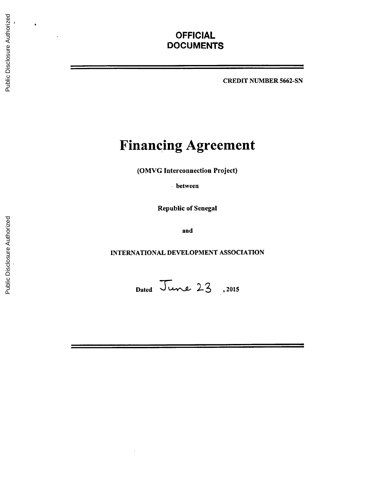## **OFFICIAL DOCUMENTS**

CREDIT **NUMBER 5662-SN**

# **Financing Agreement**

(OMVG Interconnection Project)

**.**between

Republic of Senegal

and

**INTERNATIONAL DEVELOPMENT ASSOCIATION**

Dated June 23, 2015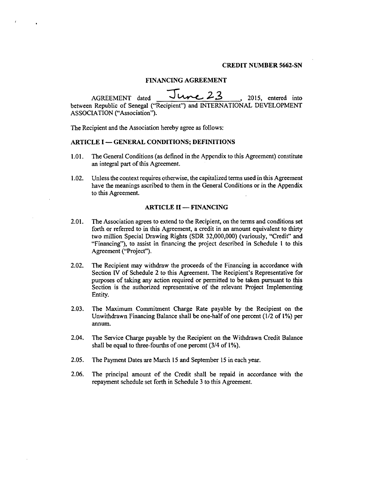#### CREDIT **NUMBER 5662-SN**

#### **FINANCING AGREEMENT**

**AGREEMENT** dated **<sup>J</sup>23** , **2015,** entered into between Republic of Senegal ("Recipient") and INTERNATIONAL **DEVELOPMENT ASSOCIATION** ("Association").

The Recipient and the Association hereby agree as follows:

#### ARTICLE I **- GENERAL CONDITIONS; DEFINITIONS**

- **1.01.** The General Conditions (as defined in the Appendix to this Agreement) constitute an integral part of this Agreement.
- 1.02. Unless the context requires otherwise, the capitalized terms used in this Agreement have the meanings ascribed to them in the General Conditions or in the Appendix to this Agreement.

#### **ARTICLE II -- FINANCING**

- 2.01. The Association agrees to extend to the Recipient, on the terms and conditions set forth or referred to in this Agreement, a credit in an amount equivalent to thirty two million Special Drawing Rights (SDR **32,000,000)** (variously, "Credit" and "Financing"), to assist in financing the project described in Schedule **I** to this Agreement ("Project").
- 2.02. The Recipient may withdraw the proceeds of the Financing in accordance with Section IV of Schedule 2 to this Agreement. The Recipient's Representative for purposes of taking any action required or permitted to be taken pursuant to this Section is the authorized representative of the relevant Project Implementing Entity.
- **2.03.** The Maximum Commitment Charge Rate payable **by** the Recipient on the Unwithdrawn Financing Balance shall **be** one-half of one percent (1/2 of **1%)** per annum.
- 2.04. The Service Charge payable **by** the Recipient on the Withdrawn Credit Balance shall be equal to three-fourths of one percent (3/4 of **1%).**
- **2.05.** The Payment Dates are March **15** and September **15** in each year.
- **2.06.** The principal amount of the Credit shall be repaid in accordance with the repayment schedule set forth in Schedule **3** to this Agreement.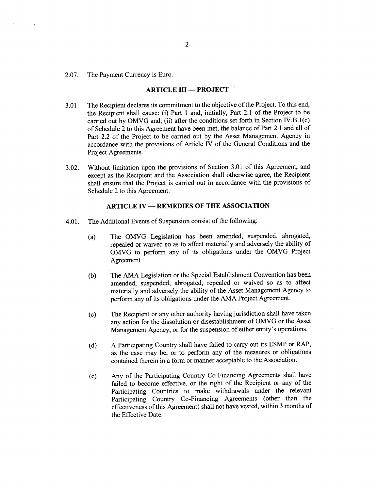**2.07.** The Payment Currency is Euro.

 $\ddot{\phantom{a}}$ 

#### **ARTICLE III - PROJECT**

- **3.01.** The Recipient declares its commitment to the objective of the Project. To this end, the Recipient shall cause: (i) Part 1 and, initially, Part 2.1 of the Project to be carried out **by** OMVG and; (ii) after the conditions set forth in Section IV.B. 1(c) of Schedule 2 to this Agreement have been met, the balance of Part 2.1 and all of Part 2.2 of the Project to be carried out **by** the Asset Management Agency in accordance with the provisions of Article IV of the General Conditions and the Project Agreements.
- **3.02.** Without limitation upon the provisions of Section **3.01** of this Agreement, and except as the Recipient and the Association shall otherwise agree, the Recipient shall ensure that the Project is carried out in accordance with the provisions of Schedule 2 to this Agreement.

#### **ARTICLE IV - REMEDIES OF THE ASSOCIATION**

- 4.01. The Additional Events of Suspension consist of the following:
	- (a) The OMVG Legislation has been amended, suspended, abrogated, repealed or waived so as to affect materially and adversely the ability of OMVG to perform any of its obligations under the OMVG Project Agreement.
	- **(b)** The **AMA** Legislation or the Special Establishment Convention has been amended, suspended, abrogated, repealed or waived so as to affect materially and adversely the ability of the Asset Management Agency to perform any of its obligations under the **AMA** Project Agreement.
	- **(c)** The Recipient or any other authority having jurisdiction shall have taken any action for the dissolution or disestablishment of OMVG or the Asset Management Agency, or for the suspension of either entity's operations.
	- **(d) A** Participating Country shall have failed to carry out its **ESMP** or RAP, as the case may be, or to perform any of the measures or obligations contained therein in a form or manner acceptable to the Association.
	- (e) Any of the Participating Country Co-Financing Agreements shall have failed to become effective, or the right of the Recipient or any of the Participating Countries to make withdrawals under the relevant Participating Country Co-Financing Agreements (other than the effectiveness of this Agreement) shall not have vested, within **3** months of the Effective Date.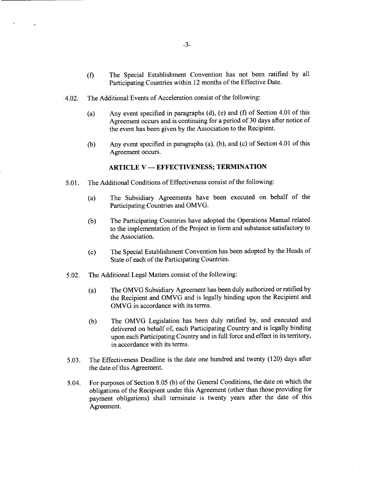- **(f)** The Special Establishment Convention has not been ratified **by** all Participating Countries within 12 months of the Effective Date.
- 4.02. The Additional Events of Acceleration consist of the following:

 $\ddot{\phantom{a}}$ 

- (a) Any event specified in paragraphs **(d),** (e) and **(f)** of Section 4.01 of this Agreement occurs and is continuing for a period of **30** days after notice of the event has been given **by** the Association to the Recipient.
- **(b)** Any event specified in paragraphs (a), **(b),** and (c) of Section 4.01 of this Agreement occurs.

#### **ARTICLE V - EFFECTIVENESS; TERMINATION**

- *5.01.* The Additional Conditions of Effectiveness consist of the following:
	- (a) The Subsidiary Agreements have been executed on behalf of the Participating Countries and OMVG.
	- **(b)** The Participating Countries have adopted the Operations Manual related to the implementation of the Project in form and substance satisfactory to the Association.
	- **(c)** The Special Establishment Convention has been adopted **by** the Heads of State of each of the Participating Countries.
- *5.02.* The Additional Legal Matters consist of the following:
	- (a) The OMVG Subsidiary Agreement has been duly authorized or ratified **by** the Recipient and OMVG and is legally binding upon the Recipient and OMVG in accordance with its terms.
	- **(b)** The OMVG Legislation has been duly ratified **by,** and executed and delivered on behalf of, each Participating Country and is legally binding upon each Participating Country and in **full** force and effect in its territory,  $\bar{z}$ in accordance with its terms.
- **5.03.** The Effectiveness Deadline is the date one hundred and twenty (120) days after the date of this Agreement.
- 5.04. For purposes of Section *8.05* **(b)** of the General Conditions, the date on which the obligations of the Recipient under this Agreement (other than those providing for payment obligations) shall terminate is twenty years after the date of this Agreement.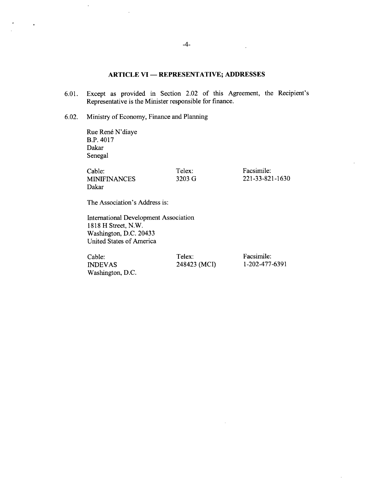#### **ARTICLE VI - REPRESENTATIVE; ADDRESSES**

- **6.01.** Except as provided in Section 2.02 of this Agreement, the Recipient's Representative is the Minister responsible for finance.
- **6.02.** Ministry of Economy, Finance and Planning

Rue René N'diaye B.P. 4017 Dakar Senegal

 $\ddot{\phantom{a}}$ 

 $\sim 100$ 

| Cable:              | Telex: | Facsimile:      |
|---------------------|--------|-----------------|
| <b>MINIFINANCES</b> | 3203 G | 221-33-821-1630 |
| Dakar               |        |                 |

The Association's Address is:

International Development Association **1818** H Street, N.W. Washington, **D.C.** 20433 United States of America

Cable: Telex: Facsimile: Facsimile: Facsimile: Facsimile: Facsimile: 1-202-477-6391 Washington, **D.C.**

**248423 (MCI)** 

 $\bar{z}$ 

 $\sim$   $\sim$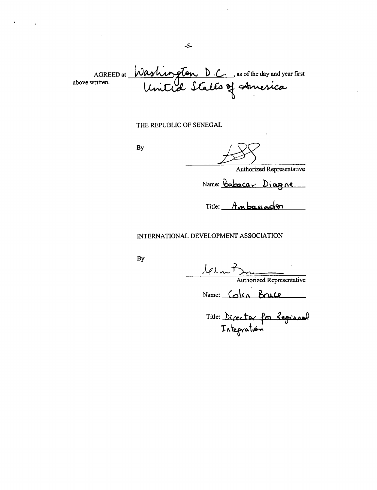AGREED at *Washington D.C.* as of the day and year first<br>vritten. United States of America above written.

#### THE REPUBLIC OF **SENEGAL**

**By**

Authorized Representative

Name: Babacar Diagne

Title: Ambassadon

#### **INTERNATIONAL DEVELOPMENT ASSOCIATION**

**By**

101 m P<br>Authorized Representative

Name: Colin Bruce

Title: Director for **Region 'i**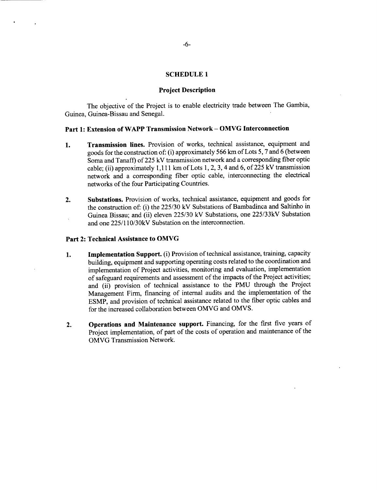#### **SCHEDULE 1**

#### **Project Description**

The objective of the Project is to enable electricity trade between The Gambia, Guinea, Guinea-Bissau and Senegal.

#### **Part 1: Extension of WAPP Transmission Network - OMVG Interconnection**

- **1. Transmission lines.** Provision of works, technical assistance, equipment and goods for the construction of: (i) approximately **566** km of Lots **5, 7** and **6** (between Soma and Tanaff) of **225 kV** transmission network and a corresponding fiber optic cable; (ii) approximately **1,111** km of Lots **1,** 2, **3,** 4 and **6,** of **225 kV** transmission network and a corresponding fiber optic cable, interconnecting the electrical networks of the four Participating Countries.
- 2. Substations. Provision of works, technical assistance, equipment and goods for the construction of: (i) the **225/30 kV** Substations of Bambadinca and Saltinho in Guinea Bissau; and (ii) eleven **225/30 kV** Substations, one **225/33kV** Substation and one **225/110/30kV** Substation on the interconnection.

#### **Part 2: Technical Assistance to OMVG**

- **1. Implementation Support.** (i) Provision of technical assistance, training, capacity building, equipment and supporting operating costs related to the coordination and implementation of Project activities, monitoring and evaluation, implementation of safeguard requirements and assessment of the impacts of the Project activities; and (ii) provision of technical assistance to the **PMU** through the Project Management Firm, financing of internal audits and the implementation of the **ESMP,** and provision of technical assistance related to the fiber optic cables and for the increased collaboration between OMVG and OMVS.
- **2. Operations and Maintenance support.** Financing, for the first five years of Project implementation, of part of the costs of operation and maintenance of the OMVG Transmission Network.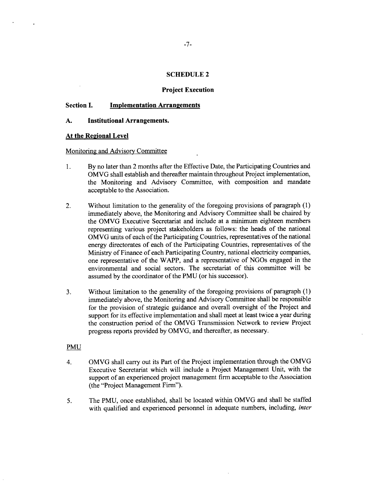#### **SCHEDULE 2**

#### **Project Execution**

#### **Section I. Implementation Arrangements**

#### **A. Institutional Arrangements.**

#### **At the Regional Level**

 $\ddot{\phantom{a}}$ 

#### Monitoring and Advisory Committee

- 1. **By** no later than 2 months after the Effective Date, the Participating Countries and OMVG shall establish and thereafter maintain throughout Project implementation, the Monitoring and Advisory Committee, with composition and mandate acceptable to the Association.
- 2. Without limitation to the generality of the foregoing provisions of paragraph **(1)** immediately above, the Monitoring and Advisory Committee shall be chaired **by** the OMVG Executive Secretariat and include at a minimum eighteen members representing various project stakeholders as follows: the heads of the national OMVG units of each of the Participating Countries, representatives of the national energy directorates of each of the Participating Countries, representatives of the Ministry of Finance of each Participating Country, national electricity companies, one representative of the WAPP, and a representative of NGOs engaged in the environmental and social sectors. The secretariat of this committee will be assumed **by** the coordinator of the **PMU** (or his successor).
- **3.** Without limitation to the generality of the foregoing provisions of paragraph **(1)** immediately above, the Monitoring and Advisory Committee shall be responsible for the provision of strategic guidance and overall oversight of the Project and support for its effective implementation and shall meet at least twice a year during the construction period of the OMVG Transmission Network to review Project progress reports provided **by** OMVG, and thereafter, as necessary.

#### **PMU**

- 4. OMVG shall carry out its Part of the Project implementation through the OMVG Executive Secretariat which will include a Project Management Unit, with the support of an experienced project management firm acceptable to the Association (the "Project Management Firm").
- **5.** The **PMU,** once established, shall be located within OMVG and shall be staffed with qualified and experienced personnel in adequate numbers, including, *inter*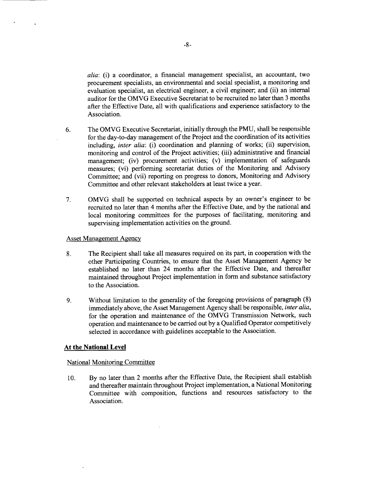*alia:* (i) a coordinator, a financial management specialist, an accountant, two procurement specialists, an environmental and social specialist, a monitoring and evaluation specialist, an electrical engineer, a civil engineer; and (ii) an internal auditor for the OMVG Executive Secretariat to be recruited no later than **3** months after the Effective Date, all with qualifications and experience satisfactory to the Association.

- **6.** The OMVG Executive Secretariat, initially through the **PMU,** shall be responsible for the day-to-day management of the Project and the coordination of its activities including, *inter alia:* (i) coordination and planning of works; (ii) supervision, monitoring and control of the Project activities; (iii) administrative and financial management; (iv) procurement activities; (v) implementation of safeguards measures; (vi) performing secretariat duties of the Monitoring and Advisory Committee; and (vii) reporting on progress to donors, Monitoring and Advisory Committee and other relevant stakeholders at least twice a year.
- **7.** OMVG shall be supported on technical aspects **by** an owner's engineer to be recruited no later than 4 months after the Effective Date, and **by** the national and local monitoring committees for the purposes of facilitating, monitoring and supervising implementation activities on the ground.

#### Asset Management Agency

 $\ddot{\phantom{1}}$ 

- **8.** The Recipient shall take all measures required on its part, in cooperation with the other Participating Countries, to ensure that the Asset Management Agency be established no later than 24 months after the Effective Date, and thereafter maintained throughout Project implementation in form and substance satisfactory to the Association.
- **9.** Without limitation to the generality of the foregoing provisions of paragraph **(8)** immediately above, the Asset Management Agency shall be responsible, *inter alia,* for the operation and maintenance of the OMVG Transmission Network, such operation and maintenance to be carried out **by** a Qualified Operator competitively selected in accordance with guidelines acceptable to the Association.

#### **At the National Level**

#### National Monitoring Committee

**10. By** no later than 2 months after the Effective Date, the Recipient shall establish and thereafter maintain throughout Project implementation, a National Monitoring Committee with composition, functions and resources satisfactory to the Association.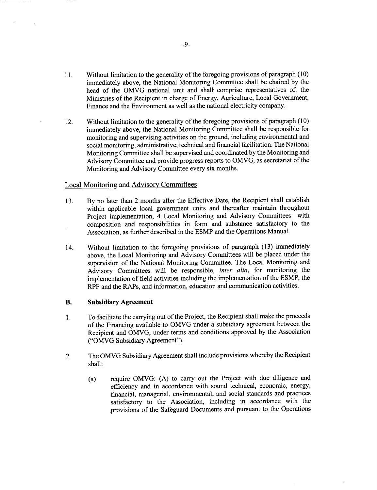- **11.** Without limitation to the generality of the foregoing provisions of paragraph **(10)** immediately above, the National Monitoring Committee shall be chaired **by** the head of the OMVG national unit and shall comprise representatives of: the Ministries of the Recipient in charge of Energy, Agriculture, Local Government, Finance and the Environment as well as the national electricity company.
- 12. Without limitation to the generality of the foregoing provisions of paragraph **(10)** immediately above, the National Monitoring Committee shall be responsible for monitoring and supervising activities on the ground, including environmental and social monitoring, administrative, technical and financial facilitation. The National Monitoring Committee shall be supervised and coordinated **by** the Monitoring and Advisory Committee and provide progress reports to OMVG, as secretariat of the Monitoring and Advisory Committee every six months.

#### Local Monitoring and Advisory Committees

 $\ddot{\phantom{a}}$ 

- **13. By** no later than 2 months after the Effective Date, the Recipient shall establish within applicable local government units and thereafter maintain throughout Project implementation, 4 Local Monitoring and Advisory Committees with composition and responsibilities in form and substance satisfactory to the Association, as further described in the **ESMP** and the Operations Manual.
- 14. Without limitation to the foregoing provisions of paragraph **(13)** immediately above, the Local Monitoring and Advisory Committees will be placed under the supervision of the National Monitoring Committee. The Local Monitoring and Advisory Committees will be responsible, *inter alia,* for monitoring the implementation of field activities including the implementation of the **ESMP,** the RPF and the RAPs, and information, education and communication activities.

#### B. **Subsidiary Agreement**

- 1 **.** To facilitate the carrying out of the Project, the Recipient shall make the proceeds of the Financing available to OMVG under a subsidiary agreement between the Recipient and OMVG, under terms and conditions approved **by** the Association ("OMVG Subsidiary Agreement").
- 2. The OMVG Subsidiary Agreement shall include provisions whereby the Recipient shall:
	- (a) require OMVG: **(A)** to carry out the Project with due diligence and efficiency and in accordance with sound technical, economic, energy, financial, managerial, environmental, and social standards and practices satisfactory to the Association, including in accordance with the provisions of the Safeguard Documents and pursuant to the Operations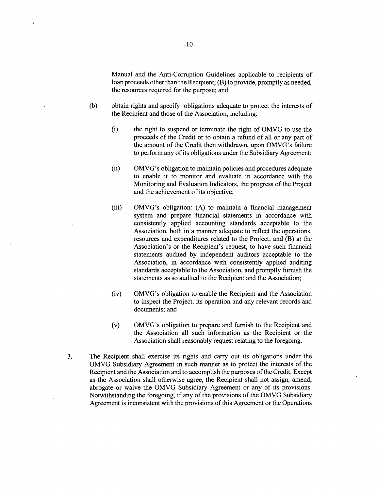Manual and the Anti-Corruption Guidelines applicable to recipients of loan proceeds other than the Recipient; (B) to provide, promptly as needed, the resources required for the purpose; and

- **(b)** obtain rights and specify obligations adequate to protect the interests of the Recipient and those of the Association, including:
	- (i) the right to suspend or terminate the right of OMVG to use the proceeds of the Credit or to obtain a refund of all or any part of the amount of the Credit then withdrawn, upon OMVG's failure to perform any of its obligations under the Subsidiary Agreement;
	- (ii) OMVG's obligation to maintain policies and procedures adequate to enable it to monitor and evaluate in accordance with the Monitoring and Evaluation Indicators, the progress of the Project and the achievement of its objective;
	- (iii) OMVG's obligation: **(A)** to maintain a financial management system and prepare financial statements in accordance with consistently applied accounting standards acceptable to the Association, both in a manner adequate to reflect the operations, resources and expenditures related to the Project; and (B) at the Association's or the Recipient's request, to have such financial statements audited **by** independent auditors acceptable to the Association, in accordance with consistently applied auditing standards acceptable to the Association, and promptly furnish the statements as so audited to the Recipient and the Association;
	- (iv) OMVG's obligation to enable the Recipient and the Association to inspect the Project, its operation and any relevant records and documents; and
	- (v) OMVG's obligation to prepare and furnish to the Recipient and the Association all such information as the Recipient or the Association shall reasonably request relating to the foregoing.
- **3.** The Recipient shall exercise its rights and carry out its obligations under the OMVG Subsidiary Agreement in such manner as to protect the interests of the Recipient and the Association and to accomplish the purposes of the Credit. Except as the Association shall otherwise agree, the Recipient shall not assign, amend, abrogate or waive the OMVG Subsidiary Agreement or any of its provisions. Notwithstanding the foregoing, if any of the provisions of the OMVG Subsidiary Agreement is inconsistent with the provisions of this Agreement or the Operations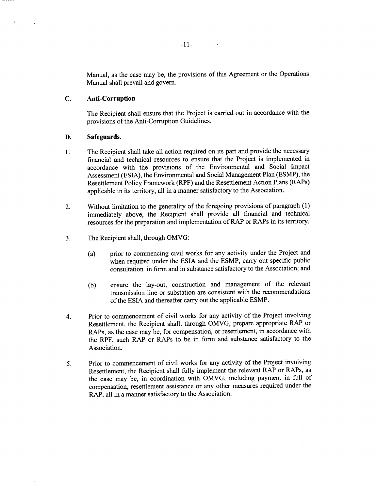Manual, as the case may be, the provisions of this Agreement or the Operations Manual shall prevail and govern.

 $\sim$   $\sim$ 

#### **C. Anti-Corruption**

The Recipient shall ensure that the Project is carried out in accordance with the provisions of the Anti-Corruption Guidelines.

#### **D.** Safeguards.

- 1. The Recipient shall take all action required on its part and provide the necessary financial and technical resources to ensure that the Project is implemented in accordance with the provisions of the Environmental and Social Impact Assessment (ESIA), the Environmental and Social Management Plan **(ESMP),** the Resettlement Policy Framework (RPF) and the Resettlement Action Plans (RAPs) applicable in its territory, all in a manner satisfactory to the Association.
- 2. Without limitation to the generality of the foregoing provisions of paragraph **(1)** immediately above, the Recipient shall provide all financial and technical resources for the preparation and implementation of RAP or RAPs in its territory.
- **3.** The Recipient shall, through OMVG:
	- (a) prior to commencing civil works for any activity under the Project and when required under the **ESIA** and the **ESMP,** carry out specific public consultation in form and in substance satisfactory to the Association; and
	- **(b)** ensure the lay-out, construction and management of the relevant transmission line or substation are consistent with the recommendations of the **ESIA** and thereafter carry out the applicable **ESMP.**
- 4. Prior to commencement of civil works for any activity of the Project involving Resettlement, the Recipient shall, through OMVG, prepare appropriate RAP or RAPs, as the case may be, for compensation, or resettlement, in accordance with the RPF, such RAP or RAPs to be in form and substance satisfactory to the Association.
- **5.** Prior to commencement of civil works for any activity of the Project involving Resettlement, the Recipient shall fully implement the relevant RAP or RAPs, as the case may be, in coordination with OMVG, including payment in **full** of compensation, resettlement assistance or any other measures required under the RAP, all in a manner satisfactory to the Association.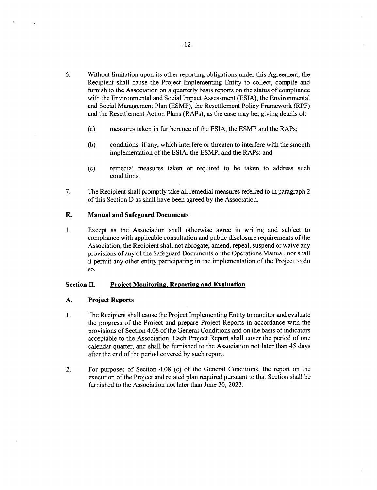- **6.** Without limitation upon its other reporting obligations under this Agreement, the Recipient shall cause the Project Implementing Entity to collect, compile and furnish to the Association on a quarterly basis reports on the status of compliance with the Environmental and Social Impact Assessment **(ESIA),** the Environmental and Social Management Plan **(ESMP),** the Resettlement Policy Framework (RPF) and the Resettlement Action Plans (RAPs), as the case may be, giving details of:
	- (a) measures taken in furtherance of the **ESIA,** the **ESMP** and the RAPs;
	- **(b)** conditions, if any, which interfere or threaten to interfere with the smooth implementation of the **ESIA,** the **ESMP,** and the RAPs; and
	- **(c)** remedial measures taken or required to be taken to address such conditions.
- **7.** The Recipient shall promptly take all remedial measures referred to in paragraph 2 of this Section **D** as shall have been agreed **by** the Association.

#### **E. Manual and Safeguard Documents**

1 **.** Except as the Association shall otherwise agree in writing and subject to compliance with applicable consultation and public disclosure requirements of the Association, the Recipient shall not abrogate, amend, repeal, suspend or waive any provisions of any of the Safeguard Documents or the Operations Manual, nor shall it permit any other entity participating in the implementation *of* the Project to do **so.**

#### **Section II.** Project Monitoring, Reporting and Evaluation

#### **A. Project Reports**

- 1 **.** The Recipient shall cause the Project Implementing Entity to monitor and evaluate the progress of the Project and prepare Project Reports in accordance with the provisions of Section 4.08 of the General Conditions and on the basis of indicators acceptable to the Association. Each Project Report shall cover the period of one calendar quarter, and shall be furnished to the Association not later than *45* days after the end of the period covered **by** such report.
- 2. For purposes of Section 4.08 (c) of the General Conditions, the report on the execution of the Project and related plan required pursuant to that Section shall be furnished to the Association not later than June **30, 2023.**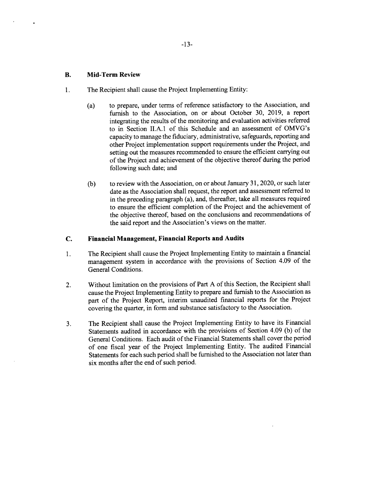#### **B. Mid-Term Review**

- 1. The Recipient shall cause the Project Implementing Entity:
	- (a) to prepare, under terms of reference satisfactory to the Association, and furnish to the Association, on or about October **30, 2019,** a report integrating the results of the monitoring and evaluation activities referred to in Section **II.A.1** of this Schedule and an assessment of OMVG's capacity to manage the fiduciary, administrative, safeguards, reporting and other Project implementation support requirements under the Project, and setting out the measures recommended to ensure the efficient carrying out of the Project and achievement of the objective thereof during the period following such date; and
	- **(b)** to review with the Association, on or about January **31,** 2020, or such later date as the Association shall request, the report and assessment referred to in the preceding paragraph (a), and, thereafter, take all measures required to ensure the efficient completion of the Project and the achievement of the objective thereof, based on the conclusions and recommendations of the said report and the Association's views on the matter.

#### **C. Financial Management, Financial Reports and Audits**

- **1 .** The Recipient shall cause the Project Implementing Entity to maintain a financial management system in accordance with the provisions of Section 4.09 of the General Conditions.
- 2. Without limitation on the provisions of Part **A** of this Section, the Recipient shall cause the Project Implementing Entity to prepare and furnish to the Association as part of the Project Report, interim unaudited financial reports for the Project covering the quarter, in form and substance satisfactory to the Association.
- **3.** The Recipient shall cause the Project Implementing Entity to have its Financial Statements audited in accordance with the provisions of Section 4.09 **(b)** of the General Conditions. Each audit of the Financial Statements shall cover the period of one fiscal year of the Project Implementing Entity. The audited Financial Statements for each such period shall be furnished to the Association not later than six months after the end of such period.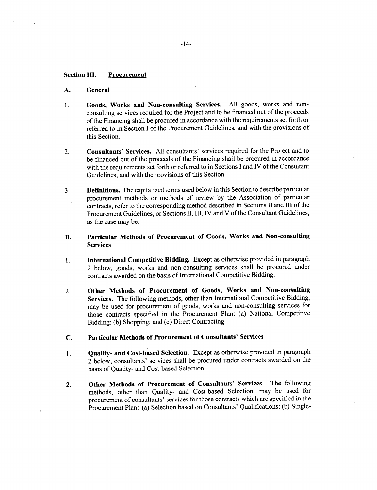#### **Section III. Procurement**

#### **A. General**

- **1. Goods, Works and Non-consulting Services. All** goods, works and nonconsulting services required for the Project and to be financed out of the proceeds of the Financing shall be procured in accordance with the requirements set forth or referred to in Section **I** of the Procurement Guidelines, and with the provisions of this Section.
- 2. **Consultants'** Services. **All** consultants' services required for the Project and to be financed out of the proceeds of the Financing shall be procured in accordance with the requirements set forth or referred to in Sections **I** and IV of the Consultant Guidelines, and with the provisions of this Section.
- **3. Definitions.** The capitalized terms used below in this Section to describe particular procurement methods or methods of review **by** the Association of particular contracts, refer to the corresponding method described in Sections II and **III** of the Procurement Guidelines, or Sections **II,** III, IV and V of the Consultant Guidelines, as the case may be.
- B. **Particular Methods of Procurement of Goods, Works and Non-consulting** Services
- **1. International Competitive Bidding.** Except as otherwise provided in paragraph 2 below, goods, works and non-consulting services shall be procured under contracts awarded on the basis of International Competitive Bidding.
- 2. **Other Methods of Procurement of Goods, Works and Non-consulting** Services. The following methods, other than International Competitive Bidding, may be used for procurement of goods, works and non-consulting services for those contracts specified in the Procurement Plan: (a) National Competitive Bidding; **(b)** Shopping; and (c) Direct Contracting.
- **C. Particular Methods of Procurement of Consultants'** Services
- **1. Quality- and Cost-based Selection.** Except as otherwise provided in paragraph 2 below, consultants' services shall be procured under contracts awarded on the basis of Quality- and Cost-based Selection.
- **2. Other Methods of Procurement of Consultants' Services.** The following methods, other than Quality- and Cost-based Selection, may be used for procurement of consultants' services for those contracts which are specified in the Procurement Plan: (a) Selection based on Consultants' Qualifications; **(b)** Single-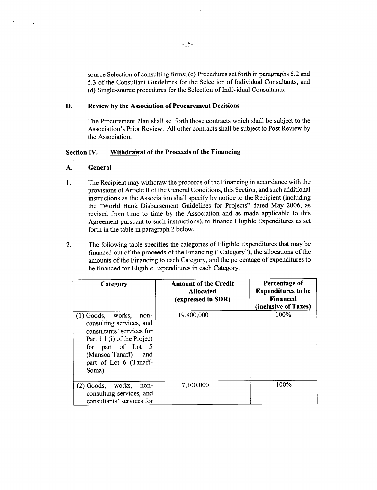source Selection of consulting firms; (c) Procedures set forth in paragraphs **5.2** and **5.3** of the Consultant Guidelines for the Selection of Individual Consultants; and **(d)** Single-source procedures for the Selection of Individual Consultants.

#### **D. Review by the Association of Procurement Decisions**

The Procurement Plan shall set forth those contracts which shall be subject to the Association's Prior Review. **All** other contracts shall be subject to Post Review **by** the Association.

#### **Section IV. Withdrawal of the Proceeds of the Financing**

#### **A. General**

- 1. The Recipient may withdraw the proceeds of the Financing in accordance with the provisions of Article II of the General Conditions, this Section, and such additional instructions as the Association shall specify **by** notice to the Recipient (including the "World Bank Disbursement Guidelines for Projects" dated May **2006,** as revised from time to time **by** the Association and as made applicable to this Agreement pursuant to such instructions), to finance Eligible Expenditures as set forth in the table in paragraph 2 below.
- 2. The following table specifies the categories of Eligible Expenditures that may be financed out of the proceeds of the Financing ("Category"), the allocations of the amounts of the Financing to each Category, and the percentage of expenditures to be financed for Eligible Expenditures in each Category:

| Category                                                                                                                                                                                                   | <b>Amount of the Credit</b><br><b>Allocated</b><br>(expressed in SDR) | Percentage of<br><b>Expenditures to be</b><br><b>Financed</b><br>(inclusive of Taxes) |
|------------------------------------------------------------------------------------------------------------------------------------------------------------------------------------------------------------|-----------------------------------------------------------------------|---------------------------------------------------------------------------------------|
| $(1)$ Goods, works,<br>non-<br>consulting services, and<br>consultants' services for<br>Part 1.1 (i) of the Project<br>for part of Lot<br>- 5<br>(Mansoa-Tanaff)<br>and<br>part of Lot 6 (Tanaff-<br>Soma) | 19,900,000                                                            | 100%                                                                                  |
| (2) Goods,<br>works,<br>non-<br>consulting services, and<br>consultants' services for                                                                                                                      | 7,100,000                                                             | 100%                                                                                  |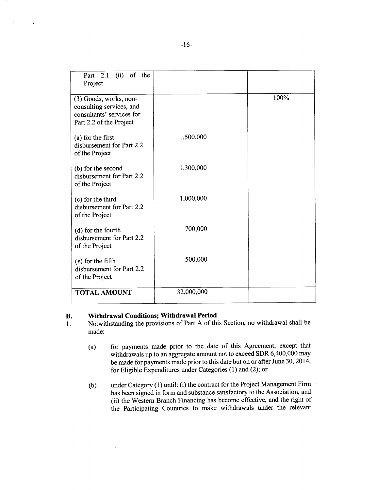| (ii) of the<br>Part 2.1<br>Project                                                                         |            |      |
|------------------------------------------------------------------------------------------------------------|------------|------|
| (3) Goods, works, non-<br>consulting services, and<br>consultants' services for<br>Part 2.2 of the Project |            | 100% |
| (a) for the first<br>disbursement for Part 2.2<br>of the Project                                           | 1,500,000  |      |
| (b) for the second<br>disbursement for Part 2.2<br>of the Project                                          | 1,300,000  |      |
| (c) for the third<br>disbursement for Part 2.2<br>of the Project                                           | 1,000,000  |      |
| (d) for the fourth<br>disbursement for Part 2.2<br>of the Project                                          | 700,000    |      |
| (e) for the fifth<br>disbursement for Part 2.2<br>of the Project                                           | 500,000    |      |
| <b>TOTAL AMOUNT</b>                                                                                        | 32,000,000 |      |

- **B.** Withdrawal Conditions; Withdrawal Period 1. Notwithstanding the provisions of Part A of this 1. Notwithstanding the provisions of **Part A** of this Section, no withdrawal shall be made:
	- (a) for payments made prior to the date of this Agreement, except that withdrawals up to an aggregate amount not to exceed SDR 6,400,000 may be made for payments made prior to this date but on or after June **30,** 2014, for Eligible Expenditures under Categories **(1)** and (2); or
	- **(b)** under Category **(1)** until: (i) the contract for the Project Management Firm has been signed in form and substance satisfactory to the Association; and (ii) the Western Branch Financing has become effective, and the right of the Participating Countries to make withdrawals under the relevant

 $\bullet$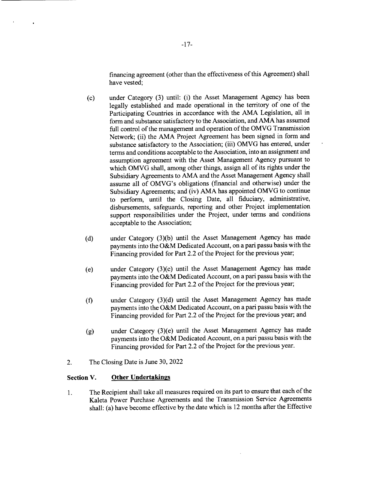financing agreement (other than the effectiveness of this Agreement) shall have vested;

- **(c)** under Category **(3)** until: (i) the Asset Management Agency has been legally established and made operational in the territory of one of the Participating Countries in accordance with the **AMA** Legislation, all in form and substance satisfactory to the Association, and **AMA** has assumed full control of the management and operation of the OMVG Transmission Network; (ii) the **AMA** Project Agreement has been signed in form and substance satisfactory to the Association; (iii) OMVG has entered, under terms and conditions acceptable to the Association, into an assignment and assumption agreement with the Asset Management Agency pursuant to which OMVG shall, among other things, assign all of its rights under the Subsidiary Agreements to **AMA** and the Asset Management Agency shall assume all of OMVG's obligations (financial and otherwise) under the Subsidiary Agreements; and (iv) **AMA** has appointed OMVG to continue to perform, until the Closing Date, all fiduciary, administrative, disbursements, safeguards, reporting and other Project implementation support responsibilities under the Project, under terms and conditions acceptable to the Association;
- **(d)** under Category **(3)(b)** until the Asset Management Agency has made payments into the O&M Dedicated Account, on a pari passu basis with the Financing provided for Part 2.2 of the Project for the previous year;
- (e) under Category (3)(c) until the Asset Management Agency has made payments into the O&M Dedicated Account, on a pari passu basis with the Financing provided for Part 2.2 of the Project for the previous year;
- **(f)** under Category **(3)(d)** until the Asset Management Agency has made payments into the O&M Dedicated Account, on a pari passu basis with the Financing provided for Part 2.2 of the Project for the previous year; and
- **(g)** under Category (3)(e) until the Asset Management Agency has made payments into the O&M Dedicated Account, on a pari passu basis with the Financing provided for Part 2.2 of the Project for the previous year.
- 2. The Closing Date is June **30,** 2022

#### **Section V. Other Undertakings**

<sup>1</sup>**.** The Recipient shall take all measures required on its part to ensure that each of the Kaleta Power Purchase Agreements and the Transmission Service Agreements shall: (a) have become effective **by** the date which is 12 months after the Effective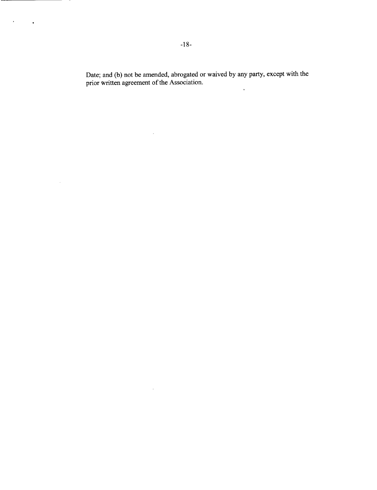Date; and **(b)** not be amended, abrogated or waived **by** any party, except with the prior written agreement of the Association. $\sim$   $\sim$ 

 $\sim 10^{-10}$ 

 $\sim 10^{-10}$ 

 $\mathcal{A}^{\text{max}}_{\text{max}}$ 

 $\sim 10$